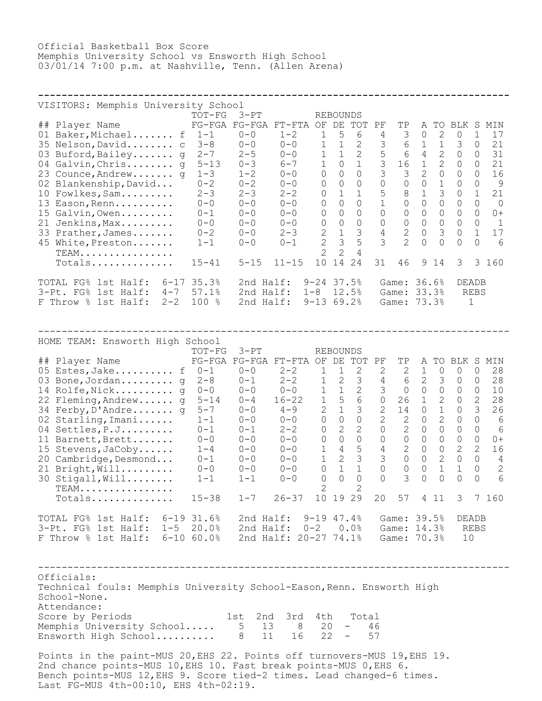Official Basketball Box Score Memphis University School vs Ensworth High School 03/01/14 7:00 p.m. at Nashville, Tenn. (Allen Arena)

| VISITORS: Memphis University School      |           |           |           |                |                 |                |    |                |                                                                                                                                                                 |              |              |           |          |
|------------------------------------------|-----------|-----------|-----------|----------------|-----------------|----------------|----|----------------|-----------------------------------------------------------------------------------------------------------------------------------------------------------------|--------------|--------------|-----------|----------|
|                                          | TOT-FG    | $3-PT$    |           |                | <b>REBOUNDS</b> |                |    |                |                                                                                                                                                                 |              |              |           |          |
| Player Name<br>##                        | $FG-FGA$  | $FG-FGA$  | $FT-FTA$  | OF             | DE              | TOT            | PF | TΡ             | A                                                                                                                                                               | TO.          | BLK          | S         | MIN      |
| Baker, Michael f<br>01                   | $1 - 1$   | $0 - 0$   | $1 - 2$   | $\mathbf{1}$   | 5               | 6              | 4  | 3              | 0                                                                                                                                                               | 2            | $\Omega$     |           | 17       |
| 35 Nelson, David c                       | $3 - 8$   | $0 - 0$   | $0 - 0$   | $\mathbf{1}$   | 1               | $\overline{2}$ | 3  | 6              | 1                                                                                                                                                               | $\mathbf{1}$ | 3            | $\Omega$  | 21       |
| Buford, Bailey g<br>03                   | $2 - 7$   | $2 - 5$   | $0 - 0$   |                | 1               | $\mathcal{L}$  | 5  | 6              | 4                                                                                                                                                               | 2            | $\Omega$     | 0         | 31       |
| Galvin, Chris q<br>04                    | $5 - 13$  | $0 - 3$   | $6 - 7$   | $\mathbf 1$    | $\Omega$        |                | 3  | 16             | 1                                                                                                                                                               | 2            | $\Omega$     | $\Omega$  | 21       |
| 23 Counce, Andrew q                      | $1 - 3$   | $1 - 2$   | $0 - 0$   | $\Omega$       | $\Omega$        | $\bigcap$      | 3  | 3              | $\mathcal{D}_{\mathcal{L}}^{\mathcal{L}}(\mathcal{L})=\mathcal{D}_{\mathcal{L}}^{\mathcal{L}}(\mathcal{L})\mathcal{D}_{\mathcal{L}}^{\mathcal{L}}(\mathcal{L})$ | $\bigcap$    | $\Omega$     | $\bigcap$ | 16       |
| 02 Blankenship, David                    | $0 - 2$   | $0 - 2$   | $0 - 0$   | 0              | $\Omega$        | $\Omega$       | 0  | 0              | 0                                                                                                                                                               |              | $\Omega$     | $\Omega$  | 9        |
| Fowlkes, Sam<br>10                       | $2 - 3$   | $2 - 3$   | $2 - 2$   | $\Omega$       | 1               |                | 5  | 8              |                                                                                                                                                                 | 3            | $\Omega$     |           | 21       |
| Eason, Renn<br>13                        | $0 - 0$   | $0 - 0$   | $0 - 0$   | $\Omega$       | $\Omega$        | $\bigcap$      |    | $\Omega$       | 0                                                                                                                                                               | $\Omega$     | $\Omega$     | $\Omega$  | $\Omega$ |
| Galvin, Owen<br>15                       | $0 - 1$   | $0 - 0$   | $() - ()$ | $\Omega$       | $\Omega$        | $\Omega$       | 0  | $\Omega$       | $\Omega$                                                                                                                                                        | $\Omega$     | $\Omega$     | $\Omega$  | $0+$     |
| Jenkins, Max<br>21                       | $0 - 0$   | $0 - 0$   | $0 - 0$   | $\Omega$       | $\Omega$        | $\bigcap$      | 0  | $\Omega$       | $\Omega$                                                                                                                                                        | $\Omega$     | $\Omega$     | $\Omega$  |          |
| Prather, James<br>33                     | $0 - 2$   | $0 - 0$   | $2 - 3$   | $\overline{2}$ | $\mathbf{1}$    | 3              | 4  | $\overline{2}$ | $\Omega$                                                                                                                                                        | 3            | $\circ$      |           | 17       |
| 45<br>White, Preston                     | $1 - 1$   | $0 - 0$   | $0 - 1$   | $\overline{2}$ | 3               | 5              | 3  | $\mathcal{D}$  |                                                                                                                                                                 | $\Omega$     | $\Omega$     | $\Omega$  | 6        |
| $TEAM$                                   |           |           |           | $\mathcal{D}$  | 2               | 4              |    |                |                                                                                                                                                                 |              |              |           |          |
| Totals                                   | $15 - 41$ | $5 - 15$  | $11 - 15$ | 10             | 14              | 24             | 31 | 46             | 9                                                                                                                                                               | 14           | 3            | 3         | 160      |
| $FG\%$<br>$6 - 17$<br>1st Half:<br>TOTAL | 35.3%     | 2nd       | Half:     | $9 - 24$       | 37.5%           |                |    | Game:          | 36.6%                                                                                                                                                           |              | <b>DEADB</b> |           |          |
| $3-Pt$ . $FG8$<br>$4 - 7$<br>1st Half:   | 57.1%     | 2nd       | Half:     | $1 - 8$        | 12.5%           |                |    | Game:          | 33.3%                                                                                                                                                           |              |              | REBS      |          |
| $2 - 2$<br>F Throw %<br>lst Half:        | 100<br>ిన | 2nd Half: |           | $9 - 13$       | 69.2%           |                |    | Game:          | 73.3%                                                                                                                                                           |              | 1            |           |          |

| HOME TEAM: Ensworth High School<br>## Player Name<br>05 Estes, Jake $f = 0-1$<br>03 Bone, Jordan q<br>14 Rolfe, Nick g 0-0<br>22 Fleming, Andrew g 5-14<br>34 Ferby, D'Andre g 5-7<br>02 Starling, Imani<br>04 Settles, P.J<br>11 Barnett, Brett<br>15 Stevens, JaCoby<br>20 Cambridge, Desmond<br>21 Bright, Will<br>30 Stigall, Will<br>$TEAM$<br>$Totals$ | $TOT-FG$<br>$2 - 8$<br>$1-1$<br>$0 - 1$<br>$0 - 0$<br>$1 - 4$<br>$0 - 1$<br>$0 - 0$<br>$1-1$<br>$15 - 38$                                                                                                              | $3-PT$<br>$0 - 0$<br>$0 - 1$<br>$0 - 0$<br>$0 - 4$<br>$0 - 0$<br>$0 - 0$<br>$0 - 1$<br>$0 - 0$<br>$0 - 0$<br>$0 - 0$<br>$0 - 0$<br>$1 - 1$<br>$1 - 7$ | FG-FGA FG-FGA FT-FTA OF DE TOT PF<br>$2 - 2$<br>$2 - 2$<br>$0 - 0$<br>$16 - 22$<br>$4 - 9$<br>$0 - 0$<br>$2 - 2$<br>$0 - 0$<br>$0 - 0$<br>$0 - 0$<br>$0 - 0$<br>$0 - 0$<br>$26 - 37$ | $\mathbf{1}$<br>1<br>1<br>1<br>$2^{\circ}$<br>$\overline{0}$<br>$\circ$<br>$\overline{0}$<br>1<br>1<br>$\Omega$<br>$\overline{2}$ | <b>REBOUNDS</b><br>$\overline{1}$<br>$\mathbf{2}$<br>1<br>5<br>1<br>$\circ$<br>$\mathbf{2}$<br>$\circ$<br>$\overline{4}$<br>$\overline{2}$<br>$0\quad 1$<br>$\Omega$<br>10 19 29 | 2<br>$\overline{3}$<br>2<br>6<br>$\overline{\mathbf{3}}$<br>$\overline{0}$<br>2<br>$\overline{0}$<br>$5\overline{)}$<br>$\overline{\mathbf{3}}$<br>$\overline{1}$<br>$\Omega$<br>2 | $\mathbf{2}$<br>$4\degree$<br>$\mathcal{S}$<br>$\overline{0}$<br>$\mathbf{2}$<br>$\mathbf{2}$<br>$\circ$<br>$\circ$<br>$4\overline{ }$<br>3 <sup>7</sup><br>$\circ$<br>$\bigcap$<br>20 | TP<br>14<br>2<br>$\mathbf{2}^{\prime}$<br>$\overline{0}$<br>$\mathcal{E}$<br>57 | $2 \quad 1$<br>$6 \quad 2$<br>26 1<br>$\circ$<br>$\circ$<br>$\circ$<br>$0\qquad 0$<br>$2\quad 0$<br>$0\qquad 0$<br>$\circ$<br>$\Omega$<br>4 | $\circ$<br>$\mathcal{S}$<br>$\begin{matrix} 0 & 0 & 0 \end{matrix}$<br>$\mathbf{2}$<br>$\mathbf 1$<br>$\mathbf{2}$<br>$\circ$<br>$\overline{0}$<br>$\circ$<br>2<br>$\mathbf{1}$<br>$\Omega$<br>11 | A TO BLK S MIN<br>$\circ$<br>$\overline{0}$<br>$\overline{0}$<br>$\overline{0}$<br>$\overline{0}$<br>$\circ$<br>$\circ$<br>$\circ$<br>2<br>$\overline{0}$<br>$\mathbf{1}$<br>$\Omega$<br>3 | $\circ$<br>$\circ$<br>$\circ$<br>$\overline{2}$<br>$\mathcal{E}$<br>$\circ$<br>$\mathbf{0}$<br>$\circ$<br>$\overline{2}$<br>$\circ$<br>$\Omega$<br>$\Omega$ | 28<br>28<br>10<br>28<br>26<br>6<br>6<br>$0+$<br>16<br>$\overline{4}$<br>$\overline{2}$<br>$6\overline{6}$<br>7 160 |
|--------------------------------------------------------------------------------------------------------------------------------------------------------------------------------------------------------------------------------------------------------------------------------------------------------------------------------------------------------------|------------------------------------------------------------------------------------------------------------------------------------------------------------------------------------------------------------------------|-------------------------------------------------------------------------------------------------------------------------------------------------------|--------------------------------------------------------------------------------------------------------------------------------------------------------------------------------------|-----------------------------------------------------------------------------------------------------------------------------------|----------------------------------------------------------------------------------------------------------------------------------------------------------------------------------|------------------------------------------------------------------------------------------------------------------------------------------------------------------------------------|----------------------------------------------------------------------------------------------------------------------------------------------------------------------------------------|---------------------------------------------------------------------------------|---------------------------------------------------------------------------------------------------------------------------------------------|---------------------------------------------------------------------------------------------------------------------------------------------------------------------------------------------------|--------------------------------------------------------------------------------------------------------------------------------------------------------------------------------------------|-------------------------------------------------------------------------------------------------------------------------------------------------------------|--------------------------------------------------------------------------------------------------------------------|
| TOTAL FG% 1st Half: 6-19 31.6%                                                                                                                                                                                                                                                                                                                               |                                                                                                                                                                                                                        |                                                                                                                                                       | 2nd Half: 9-19 47.4%                                                                                                                                                                 |                                                                                                                                   |                                                                                                                                                                                  |                                                                                                                                                                                    |                                                                                                                                                                                        | Game: 39.5%                                                                     |                                                                                                                                             |                                                                                                                                                                                                   | DEADB                                                                                                                                                                                      |                                                                                                                                                             |                                                                                                                    |
| 3-Pt. FG% 1st Half: 1-5 20.0%<br>F Throw % 1st Half: 6-10 60.0%                                                                                                                                                                                                                                                                                              |                                                                                                                                                                                                                        |                                                                                                                                                       | 2nd Half: 0-2 0.0%                                                                                                                                                                   |                                                                                                                                   |                                                                                                                                                                                  |                                                                                                                                                                                    |                                                                                                                                                                                        | Game: 14.3%                                                                     |                                                                                                                                             |                                                                                                                                                                                                   | <b>REBS</b><br>10                                                                                                                                                                          |                                                                                                                                                             |                                                                                                                    |
| 2nd Half: 20-27 74.1%<br>Game: 70.3%<br>Officials:                                                                                                                                                                                                                                                                                                           |                                                                                                                                                                                                                        |                                                                                                                                                       |                                                                                                                                                                                      |                                                                                                                                   |                                                                                                                                                                                  |                                                                                                                                                                                    |                                                                                                                                                                                        |                                                                                 |                                                                                                                                             |                                                                                                                                                                                                   |                                                                                                                                                                                            |                                                                                                                                                             |                                                                                                                    |
| Technical fouls: Memphis University School-Eason, Renn. Ensworth High<br>School-None.                                                                                                                                                                                                                                                                        |                                                                                                                                                                                                                        |                                                                                                                                                       |                                                                                                                                                                                      |                                                                                                                                   |                                                                                                                                                                                  |                                                                                                                                                                                    |                                                                                                                                                                                        |                                                                                 |                                                                                                                                             |                                                                                                                                                                                                   |                                                                                                                                                                                            |                                                                                                                                                             |                                                                                                                    |
| Attendance:                                                                                                                                                                                                                                                                                                                                                  |                                                                                                                                                                                                                        |                                                                                                                                                       |                                                                                                                                                                                      |                                                                                                                                   |                                                                                                                                                                                  |                                                                                                                                                                                    |                                                                                                                                                                                        |                                                                                 |                                                                                                                                             |                                                                                                                                                                                                   |                                                                                                                                                                                            |                                                                                                                                                             |                                                                                                                    |
| Score by Periods<br>Memphis University School<br>Ensworth High School 8                                                                                                                                                                                                                                                                                      |                                                                                                                                                                                                                        | 1st<br>5<br>11                                                                                                                                        | 2nd 3rd<br>13 8 20<br>16                                                                                                                                                             | 4th<br>22                                                                                                                         | $\frac{1}{2}$ and $\frac{1}{2}$<br>$\sim$ $-$                                                                                                                                    | Total                                                                                                                                                                              | 46<br>57                                                                                                                                                                               |                                                                                 |                                                                                                                                             |                                                                                                                                                                                                   |                                                                                                                                                                                            |                                                                                                                                                             |                                                                                                                    |
|                                                                                                                                                                                                                                                                                                                                                              | Points in the paint-MUS 20, EHS 22. Points off turnovers-MUS 19, EHS 19.<br>2nd chance points-MUS 10, EHS 10. Fast break points-MUS 0, EHS 6.<br>Bench points-MUS 12, EHS 9. Score tied-2 times. Lead changed-6 times. |                                                                                                                                                       |                                                                                                                                                                                      |                                                                                                                                   |                                                                                                                                                                                  |                                                                                                                                                                                    |                                                                                                                                                                                        |                                                                                 |                                                                                                                                             |                                                                                                                                                                                                   |                                                                                                                                                                                            |                                                                                                                                                             |                                                                                                                    |

Last FG-MUS 4th-00:10, EHS 4th-02:19.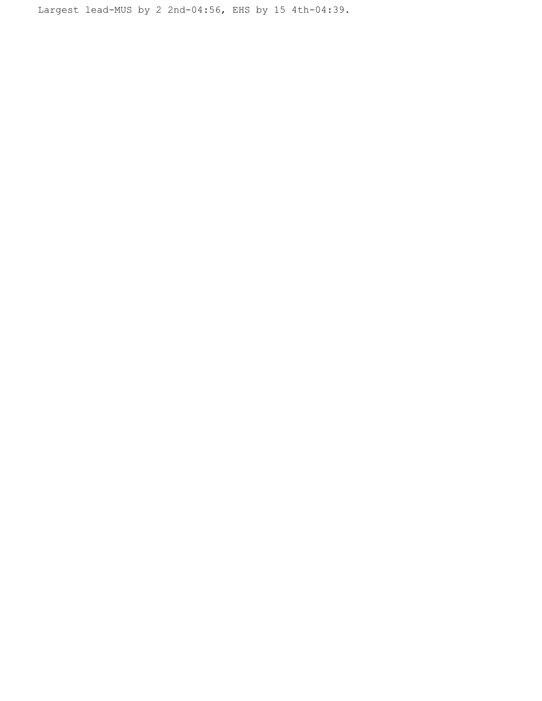Largest lead-MUS by 2 2nd-04:56, EHS by 15 4th-04:39.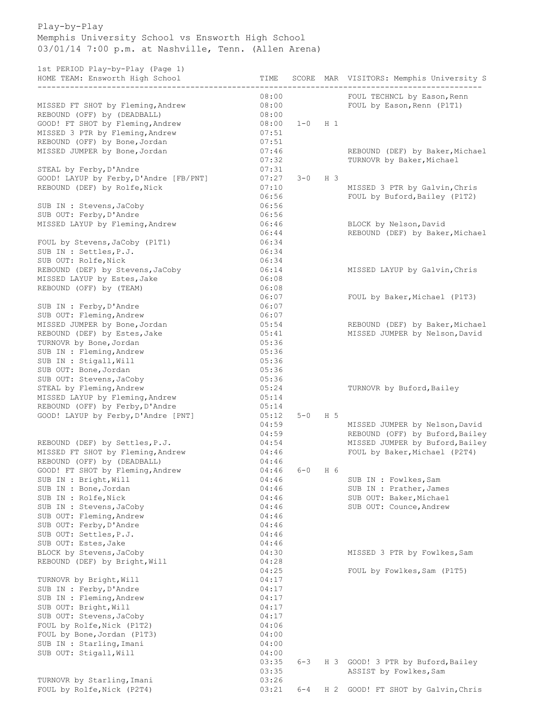## Play-by-Play Memphis University School vs Ensworth High School 03/01/14 7:00 p.m. at Nashville, Tenn. (Allen Arena)

1st PERIOD Play-by-Play (Page 1)

| roc finition frag by frag (fago f)<br>HOME TEAM: Ensworth High School | TIME           |         |                | SCORE MAR VISITORS: Memphis University S |
|-----------------------------------------------------------------------|----------------|---------|----------------|------------------------------------------|
|                                                                       | 08:00          |         |                | FOUL TECHNCL by Eason, Renn              |
| MISSED FT SHOT by Fleming, Andrew                                     | 08:00          |         |                | FOUL by Eason, Renn (P1T1)               |
| REBOUND (OFF) by (DEADBALL)                                           | 08:00          |         |                |                                          |
| GOOD! FT SHOT by Fleming, Andrew                                      | 08:00          | $1 - 0$ | $H_1$          |                                          |
| MISSED 3 PTR by Fleming, Andrew                                       | 07:51          |         |                |                                          |
| REBOUND (OFF) by Bone, Jordan                                         | 07:51          |         |                |                                          |
| MISSED JUMPER by Bone, Jordan                                         | 07:46          |         |                | REBOUND (DEF) by Baker, Michael          |
|                                                                       | 07:32          |         |                | TURNOVR by Baker, Michael                |
| STEAL by Ferby, D'Andre                                               | 07:31          |         |                |                                          |
| GOOD! LAYUP by Ferby, D'Andre [FB/PNT]                                | 07:27          | $3 - 0$ | H <sub>3</sub> |                                          |
| REBOUND (DEF) by Rolfe, Nick                                          | 07:10          |         |                | MISSED 3 PTR by Galvin, Chris            |
|                                                                       | 06:56          |         |                | FOUL by Buford, Bailey (P1T2)            |
| SUB IN : Stevens, JaCoby                                              | 06:56          |         |                |                                          |
| SUB OUT: Ferby, D'Andre                                               | 06:56          |         |                |                                          |
| MISSED LAYUP by Fleming, Andrew                                       | 06:46          |         |                | BLOCK by Nelson, David                   |
|                                                                       | 06:44          |         |                | REBOUND (DEF) by Baker, Michael          |
| FOUL by Stevens, JaCoby (P1T1)                                        | 06:34          |         |                |                                          |
| SUB IN : Settles, P.J.                                                | 06:34          |         |                |                                          |
| SUB OUT: Rolfe, Nick                                                  | 06:34          |         |                |                                          |
| REBOUND (DEF) by Stevens, JaCoby                                      | 06:14          |         |                | MISSED LAYUP by Galvin, Chris            |
| MISSED LAYUP by Estes, Jake                                           | 06:08          |         |                |                                          |
| REBOUND (OFF) by (TEAM)                                               | 06:08          |         |                |                                          |
|                                                                       | 06:07          |         |                | FOUL by Baker, Michael (P1T3)            |
| SUB IN : Ferby, D'Andre                                               | 06:07          |         |                |                                          |
| SUB OUT: Fleming, Andrew                                              | 06:07          |         |                |                                          |
| MISSED JUMPER by Bone, Jordan                                         | 05:54          |         |                | REBOUND (DEF) by Baker, Michael          |
| REBOUND (DEF) by Estes, Jake                                          | 05:41          |         |                | MISSED JUMPER by Nelson, David           |
| TURNOVR by Bone, Jordan                                               | 05:36          |         |                |                                          |
| SUB IN : Fleming, Andrew                                              | 05:36          |         |                |                                          |
| SUB IN : Stigall, Will                                                | 05:36          |         |                |                                          |
| SUB OUT: Bone, Jordan                                                 | 05:36          |         |                |                                          |
| SUB OUT: Stevens, JaCoby                                              | 05:36          |         |                |                                          |
| STEAL by Fleming, Andrew                                              | 05:24          |         |                | TURNOVR by Buford, Bailey                |
| MISSED LAYUP by Fleming, Andrew                                       | 05:14          |         |                |                                          |
| REBOUND (OFF) by Ferby, D'Andre                                       | 05:14<br>05:12 |         |                |                                          |
| GOOD! LAYUP by Ferby, D'Andre [PNT]                                   | 04:59          | $5 - 0$ | H 5            | MISSED JUMPER by Nelson, David           |
|                                                                       | 04:59          |         |                | REBOUND (OFF) by Buford, Bailey          |
| REBOUND (DEF) by Settles, P.J.                                        | 04:54          |         |                | MISSED JUMPER by Buford, Bailey          |
| MISSED FT SHOT by Fleming, Andrew                                     | 04:46          |         |                | FOUL by Baker, Michael (P2T4)            |
| REBOUND (OFF) by (DEADBALL)                                           | 04:46          |         |                |                                          |
| GOOD! FT SHOT by Fleming, Andrew                                      | 04:46          | $6 - 0$ | H 6            |                                          |
| SUB IN : Bright, Will                                                 | 04:46          |         |                | SUB IN : Fowlkes, Sam                    |
| SUB IN : Bone, Jordan                                                 | 04:46          |         |                | SUB IN : Prather, James                  |
| SUB IN : Rolfe, Nick                                                  | 04:46          |         |                | SUB OUT: Baker, Michael                  |
| SUB IN : Stevens, JaCoby                                              | 04:46          |         |                | SUB OUT: Counce, Andrew                  |
| SUB OUT: Fleming, Andrew                                              | 04:46          |         |                |                                          |
| SUB OUT: Ferby, D'Andre                                               | 04:46          |         |                |                                          |
| SUB OUT: Settles, P.J.                                                | 04:46          |         |                |                                          |
| SUB OUT: Estes, Jake                                                  | 04:46          |         |                |                                          |
| BLOCK by Stevens, JaCoby                                              | 04:30          |         |                | MISSED 3 PTR by Fowlkes, Sam             |
| REBOUND (DEF) by Bright, Will                                         | 04:28          |         |                |                                          |
|                                                                       | 04:25          |         |                | FOUL by Fowlkes, Sam (P1T5)              |
| TURNOVR by Bright, Will                                               | 04:17          |         |                |                                          |
| SUB IN : Ferby, D'Andre                                               | 04:17          |         |                |                                          |
| SUB IN : Fleming, Andrew                                              | 04:17          |         |                |                                          |
| SUB OUT: Bright, Will                                                 | 04:17          |         |                |                                          |
| SUB OUT: Stevens, JaCoby                                              | 04:17          |         |                |                                          |
| FOUL by Rolfe, Nick (P1T2)                                            | 04:06          |         |                |                                          |
| FOUL by Bone, Jordan (P1T3)                                           | 04:00          |         |                |                                          |
| SUB IN : Starling, Imani                                              | 04:00          |         |                |                                          |
| SUB OUT: Stigall, Will                                                | 04:00          |         |                |                                          |
|                                                                       | 03:35          | $6 - 3$ | H 3            | GOOD! 3 PTR by Buford, Bailey            |
|                                                                       | 03:35          |         |                | ASSIST by Fowlkes, Sam                   |
| TURNOVR by Starling, Imani                                            | 03:26          |         |                |                                          |
| FOUL by Rolfe, Nick (P2T4)                                            | 03:21          | $6 - 4$ | H 2            | GOOD! FT SHOT by Galvin, Chris           |
|                                                                       |                |         |                |                                          |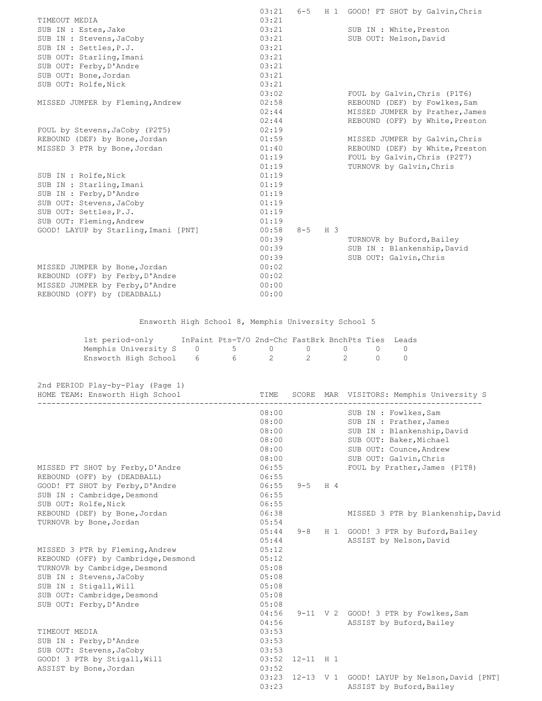|                                      | 03:21 | $6 - 5$ |                | H 1 GOOD! FT SHOT by Galvin, Chris |
|--------------------------------------|-------|---------|----------------|------------------------------------|
| TIMEOUT MEDIA                        | 03:21 |         |                |                                    |
| SUB IN : Estes, Jake                 | 03:21 |         |                | SUB IN : White, Preston            |
| SUB IN : Stevens, JaCoby             | 03:21 |         |                | SUB OUT: Nelson, David             |
| SUB IN : Settles, P.J.               | 03:21 |         |                |                                    |
| SUB OUT: Starling, Imani             | 03:21 |         |                |                                    |
| SUB OUT: Ferby, D'Andre              | 03:21 |         |                |                                    |
| SUB OUT: Bone, Jordan                | 03:21 |         |                |                                    |
| SUB OUT: Rolfe, Nick                 | 03:21 |         |                |                                    |
|                                      | 03:02 |         |                | FOUL by Galvin, Chris (P1T6)       |
| MISSED JUMPER by Fleming, Andrew     | 02:58 |         |                | REBOUND (DEF) by Fowlkes, Sam      |
|                                      | 02:44 |         |                | MISSED JUMPER by Prather, James    |
|                                      | 02:44 |         |                | REBOUND (OFF) by White, Preston    |
| FOUL by Stevens, JaCoby (P2T5)       | 02:19 |         |                |                                    |
| REBOUND (DEF) by Bone, Jordan        | 01:59 |         |                | MISSED JUMPER by Galvin, Chris     |
| MISSED 3 PTR by Bone, Jordan         | 01:40 |         |                | REBOUND (DEF) by White, Preston    |
|                                      | 01:19 |         |                | FOUL by Galvin, Chris (P2T7)       |
|                                      | 01:19 |         |                | TURNOVR by Galvin, Chris           |
| SUB IN : Rolfe, Nick                 | 01:19 |         |                |                                    |
| SUB IN : Starling, Imani             | 01:19 |         |                |                                    |
| SUB IN : Ferby, D'Andre              | 01:19 |         |                |                                    |
| SUB OUT: Stevens, JaCoby             | 01:19 |         |                |                                    |
| SUB OUT: Settles, P.J.               | 01:19 |         |                |                                    |
| SUB OUT: Fleming, Andrew             | 01:19 |         |                |                                    |
| GOOD! LAYUP by Starling, Imani [PNT] | 00:58 | $8 - 5$ | H <sub>3</sub> |                                    |
|                                      | 00:39 |         |                | TURNOVR by Buford, Bailey          |
|                                      | 00:39 |         |                | SUB IN : Blankenship, David        |
|                                      | 00:39 |         |                | SUB OUT: Galvin, Chris             |
| MISSED JUMPER by Bone, Jordan        | 00:02 |         |                |                                    |
| REBOUND (OFF) by Ferby, D'Andre      | 00:02 |         |                |                                    |
| MISSED JUMPER by Ferby, D'Andre      | 00:00 |         |                |                                    |
| REBOUND (OFF) by (DEADBALL)          | 00:00 |         |                |                                    |

Ensworth High School 8, Memphis University School 5

| 1st period-only                      | InPaint Pts-T/O 2nd-Chc FastBrk BnchPts Ties Leads |  |  |  |
|--------------------------------------|----------------------------------------------------|--|--|--|
| Memphis University S 0 5 0 0 0 0 0 0 |                                                    |  |  |  |
| Ensworth High School 6 6 6 2 2 2 0 0 |                                                    |  |  |  |

|  | 2nd PERIOD Play-by-Play (Page 1) |  |
|--|----------------------------------|--|

| HOME TEAM: Ensworth High School     | TIME  |               | SCORE MAR VISITORS: Memphis University S     |
|-------------------------------------|-------|---------------|----------------------------------------------|
|                                     | 08:00 |               | SUB IN : Fowlkes, Sam                        |
|                                     | 08:00 |               | SUB IN : Prather, James                      |
|                                     | 08:00 |               | SUB IN : Blankenship, David                  |
|                                     | 08:00 |               | SUB OUT: Baker, Michael                      |
|                                     | 08:00 |               | SUB OUT: Counce, Andrew                      |
|                                     | 08:00 |               | SUB OUT: Galvin, Chris                       |
| MISSED FT SHOT by Ferby, D'Andre    | 06:55 |               | FOUL by Prather, James (P1T8)                |
| REBOUND (OFF) by (DEADBALL)         | 06:55 |               |                                              |
| GOOD! FT SHOT by Ferby, D'Andre     | 06:55 | $9 - 5$ H 4   |                                              |
| SUB IN : Cambridge, Desmond         | 06:55 |               |                                              |
| SUB OUT: Rolfe, Nick                | 06:55 |               |                                              |
| REBOUND (DEF) by Bone, Jordan       | 06:38 |               | MISSED 3 PTR by Blankenship, David           |
| TURNOVR by Bone, Jordan             | 05:54 |               |                                              |
|                                     | 05:44 |               | 9-8 H 1 GOOD! 3 PTR by Buford, Bailey        |
|                                     | 05:44 |               | ASSIST by Nelson, David                      |
| MISSED 3 PTR by Fleming, Andrew     | 05:12 |               |                                              |
| REBOUND (OFF) by Cambridge, Desmond | 05:12 |               |                                              |
| TURNOVR by Cambridge, Desmond       | 05:08 |               |                                              |
| SUB IN : Stevens, JaCoby            | 05:08 |               |                                              |
| SUB IN : Stigall, Will              | 05:08 |               |                                              |
| SUB OUT: Cambridge, Desmond         | 05:08 |               |                                              |
| SUB OUT: Ferby, D'Andre             | 05:08 |               |                                              |
|                                     | 04:56 |               | 9-11 V 2 GOOD! 3 PTR by Fowlkes, Sam         |
|                                     | 04:56 |               | ASSIST by Buford, Bailey                     |
| TIMEOUT MEDIA                       | 03:53 |               |                                              |
| SUB IN : Ferby, D'Andre             | 03:53 |               |                                              |
| SUB OUT: Stevens, JaCoby            | 03:53 |               |                                              |
| GOOD! 3 PTR by Stigall, Will        | 03:52 | $12 - 11$ H 1 |                                              |
| ASSIST by Bone, Jordan              | 03:52 |               |                                              |
|                                     | 03:23 |               | 12-13 V 1 GOOD! LAYUP by Nelson, David [PNT] |
|                                     | 03:23 |               | ASSIST by Buford, Bailey                     |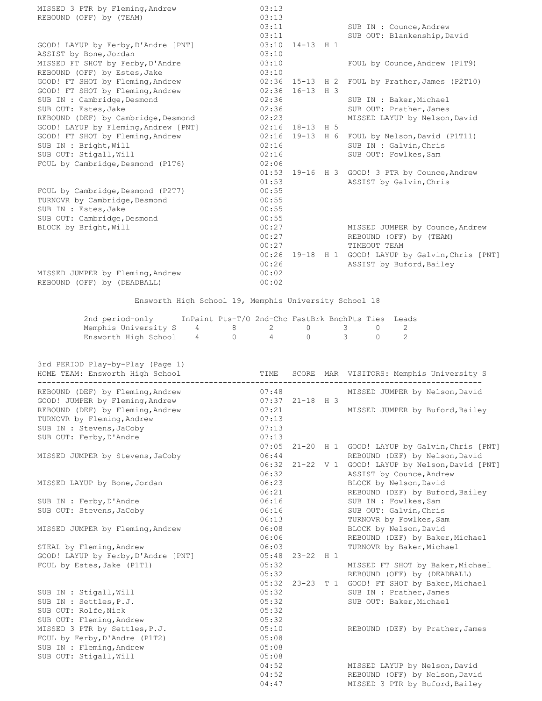| MISSED 3 PTR by Fleming, Andrew      | 03:13 |                   |                                                    |
|--------------------------------------|-------|-------------------|----------------------------------------------------|
| REBOUND (OFF) by (TEAM)              | 03:13 |                   |                                                    |
|                                      | 03:11 |                   | SUB IN : Counce, Andrew                            |
|                                      |       | 03:11             | SUB OUT: Blankenship, David                        |
| GOOD! LAYUP by Ferby, D'Andre [PNT]  |       | 03:10 14-13 H 1   |                                                    |
| ASSIST by Bone, Jordan               | 03:10 |                   |                                                    |
| MISSED FT SHOT by Ferby, D'Andre     | 03:10 |                   | FOUL by Counce, Andrew (P1T9)                      |
| REBOUND (OFF) by Estes, Jake         | 03:10 |                   |                                                    |
| GOOD! FT SHOT by Fleming, Andrew     | 02:36 | $15 - 13$ H 2     | FOUL by Prather, James (P2T10)                     |
| GOOD! FT SHOT by Fleming, Andrew     | 02:36 | $16 - 13$ H 3     |                                                    |
| SUB IN : Cambridge, Desmond          | 02:36 |                   | SUB IN : Baker, Michael                            |
| SUB OUT: Estes, Jake                 | 02:36 |                   | SUB OUT: Prather, James                            |
| REBOUND (DEF) by Cambridge, Desmond  | 02:23 |                   | MISSED LAYUP by Nelson, David                      |
| GOOD! LAYUP by Fleming, Andrew [PNT] |       | $02:16$ 18-13 H 5 |                                                    |
| GOOD! FT SHOT by Fleming, Andrew     |       |                   | 02:16 19-13 H 6 FOUL by Nelson, David (P1T11)      |
| SUB IN : Bright, Will                | 02:16 |                   | SUB IN : Galvin, Chris                             |
| SUB OUT: Stigall, Will               | 02:16 |                   | SUB OUT: Fowlkes, Sam                              |
| FOUL by Cambridge, Desmond (P1T6)    | 02:06 |                   |                                                    |
|                                      |       |                   | 01:53 19-16 H 3 GOOD! 3 PTR by Counce, Andrew      |
|                                      | 01:53 |                   | ASSIST by Galvin, Chris                            |
| FOUL by Cambridge, Desmond (P2T7)    | 00:55 |                   |                                                    |
| TURNOVR by Cambridge, Desmond        | 00:55 |                   |                                                    |
| SUB IN : Estes, Jake                 | 00:55 |                   |                                                    |
| SUB OUT: Cambridge, Desmond          | 00:55 |                   |                                                    |
| BLOCK by Bright, Will                | 00:27 |                   | MISSED JUMPER by Counce, Andrew                    |
|                                      | 00:27 |                   | REBOUND (OFF) by (TEAM)                            |
|                                      | 00:27 |                   | TIMEOUT TEAM                                       |
|                                      |       |                   | 00:26 19-18 H 1 GOOD! LAYUP by Galvin, Chris [PNT] |
|                                      | 00:26 |                   | ASSIST by Buford, Bailey                           |
| MISSED JUMPER by Fleming, Andrew     | 00:02 |                   |                                                    |
| REBOUND (OFF) by (DEADBALL)          | 00:02 |                   |                                                    |

Ensworth High School 19, Memphis University School 18

| 2nd period-only                    |  | InPaint Pts-T/O 2nd-Chc FastBrk BnchPts Ties Leads |  |  |
|------------------------------------|--|----------------------------------------------------|--|--|
| Memphis University S 4 8 2 0 3 0 2 |  |                                                    |  |  |
| Ensworth High School 4 0 4 0 3 0 2 |  |                                                    |  |  |

| 3rd PERIOD Play-by-Play (Page 1)<br>HOME TEAM: Ensworth High School | TIME  | SCORE             | MAR VISITORS: Memphis University S                 |
|---------------------------------------------------------------------|-------|-------------------|----------------------------------------------------|
| REBOUND (DEF) by Fleming, Andrew                                    | 07:48 |                   | MISSED JUMPER by Nelson, David                     |
| GOOD! JUMPER by Fleming, Andrew                                     |       | $07:37$ 21-18 H 3 |                                                    |
| REBOUND (DEF) by Fleming, Andrew                                    | 07:21 |                   | MISSED JUMPER by Buford, Bailey                    |
| TURNOVR by Fleming, Andrew                                          | 07:13 |                   |                                                    |
| SUB IN : Stevens, JaCoby                                            | 07:13 |                   |                                                    |
| SUB OUT: Ferby, D'Andre                                             | 07:13 |                   |                                                    |
|                                                                     | 07:05 |                   | 21-20 H 1 GOOD! LAYUP by Galvin, Chris [PNT]       |
| MISSED JUMPER by Stevens, JaCoby                                    | 06:44 |                   | REBOUND (DEF) by Nelson, David                     |
|                                                                     |       |                   | 06:32 21-22 V 1 GOOD! LAYUP by Nelson, David [PNT] |
|                                                                     | 06:32 |                   | ASSIST by Counce, Andrew                           |
| MISSED LAYUP by Bone, Jordan                                        | 06:23 |                   | BLOCK by Nelson, David                             |
|                                                                     | 06:21 |                   | REBOUND (DEF) by Buford, Bailey                    |
| SUB IN : Ferby, D'Andre                                             | 06:16 |                   | SUB IN : Fowlkes, Sam                              |
| SUB OUT: Stevens, JaCoby                                            | 06:16 |                   | SUB OUT: Galvin, Chris                             |
|                                                                     | 06:13 |                   | TURNOVR by Fowlkes, Sam                            |
| MISSED JUMPER by Fleming, Andrew                                    | 06:08 |                   | BLOCK by Nelson, David                             |
|                                                                     | 06:06 |                   | REBOUND (DEF) by Baker, Michael                    |
| STEAL by Fleming, Andrew                                            | 06:03 |                   | TURNOVR by Baker, Michael                          |
| GOOD! LAYUP by Ferby, D'Andre [PNT]                                 | 05:48 | 23-22 H 1         |                                                    |
| FOUL by Estes, Jake (P1T1)                                          | 05:32 |                   | MISSED FT SHOT by Baker, Michael                   |
|                                                                     | 05:32 |                   | REBOUND (OFF) by (DEADBALL)                        |
|                                                                     |       |                   | 05:32 23-23 T 1 GOOD! FT SHOT by Baker, Michael    |
| SUB IN : Stigall, Will                                              | 05:32 |                   | SUB IN : Prather, James                            |
| SUB IN : Settles, P.J.                                              | 05:32 |                   | SUB OUT: Baker, Michael                            |
| SUB OUT: Rolfe, Nick                                                | 05:32 |                   |                                                    |
| SUB OUT: Fleming, Andrew                                            | 05:32 |                   |                                                    |
| MISSED 3 PTR by Settles, P.J.                                       | 05:10 |                   | REBOUND (DEF) by Prather, James                    |
| FOUL by Ferby, D'Andre (P1T2)                                       | 05:08 |                   |                                                    |
| SUB IN : Fleming, Andrew                                            | 05:08 |                   |                                                    |
| SUB OUT: Stigall, Will                                              | 05:08 |                   |                                                    |
|                                                                     | 04:52 |                   | MISSED LAYUP by Nelson, David                      |
|                                                                     | 04:52 |                   | REBOUND (OFF) by Nelson, David                     |
|                                                                     | 04:47 |                   | MISSED 3 PTR by Buford, Bailey                     |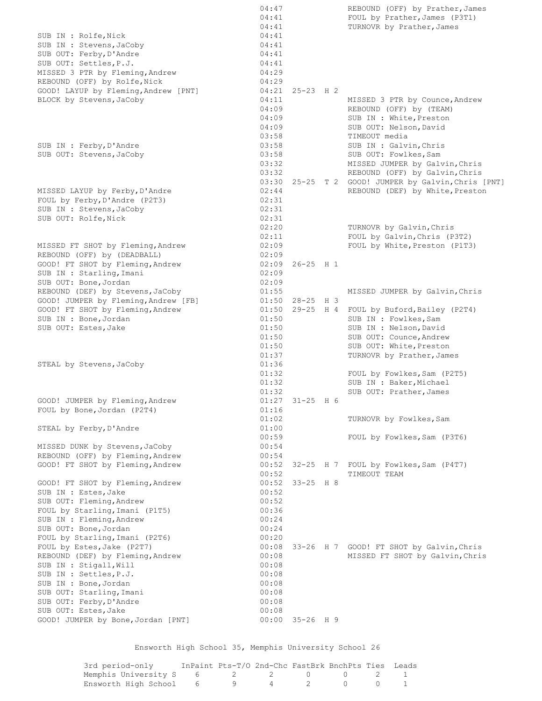|                                                           | 04:47          |                     | REBOUND (OFF) by Prather, James                                        |
|-----------------------------------------------------------|----------------|---------------------|------------------------------------------------------------------------|
|                                                           | 04:41          |                     | FOUL by Prather, James (P3T1)                                          |
|                                                           | 04:41          |                     | TURNOVR by Prather, James                                              |
| SUB IN : Rolfe, Nick                                      | 04:41          |                     |                                                                        |
| SUB IN : Stevens, JaCoby                                  | 04:41          |                     |                                                                        |
| SUB OUT: Ferby, D'Andre<br>SUB OUT: Settles, P.J.         | 04:41          |                     |                                                                        |
| MISSED 3 PTR by Fleming, Andrew                           | 04:41<br>04:29 |                     |                                                                        |
| REBOUND (OFF) by Rolfe, Nick                              | 04:29          |                     |                                                                        |
| GOOD! LAYUP by Fleming, Andrew [PNT]                      |                | $04:21$ 25-23 H 2   |                                                                        |
| BLOCK by Stevens, JaCoby                                  | 04:11          |                     | MISSED 3 PTR by Counce, Andrew                                         |
|                                                           | 04:09          |                     | REBOUND (OFF) by (TEAM)                                                |
|                                                           | 04:09          |                     | SUB IN : White, Preston                                                |
|                                                           | 04:09          |                     | SUB OUT: Nelson, David                                                 |
|                                                           | 03:58          |                     | TIMEOUT media                                                          |
| SUB IN : Ferby, D'Andre                                   | 03:58          |                     | SUB IN : Galvin, Chris                                                 |
| SUB OUT: Stevens, JaCoby                                  | 03:58          |                     | SUB OUT: Fowlkes, Sam                                                  |
|                                                           | 03:32          |                     | MISSED JUMPER by Galvin, Chris                                         |
|                                                           | 03:32          |                     | REBOUND (OFF) by Galvin, Chris                                         |
|                                                           |                |                     | 03:30 25-25 T 2 GOOD! JUMPER by Galvin, Chris [PNT]                    |
| MISSED LAYUP by Ferby, D'Andre                            | 02:44          |                     | REBOUND (DEF) by White, Preston                                        |
| FOUL by Ferby, D'Andre (P2T3)                             | 02:31          |                     |                                                                        |
| SUB IN : Stevens, JaCoby                                  | 02:31          |                     |                                                                        |
| SUB OUT: Rolfe, Nick                                      | 02:31          |                     |                                                                        |
|                                                           | 02:20          |                     | TURNOVR by Galvin, Chris                                               |
|                                                           | 02:11          |                     | FOUL by Galvin, Chris (P3T2)                                           |
| MISSED FT SHOT by Fleming, Andrew                         | 02:09          |                     | FOUL by White, Preston (P1T3)                                          |
| REBOUND (OFF) by (DEADBALL)                               | 02:09          |                     |                                                                        |
| GOOD! FT SHOT by Fleming, Andrew                          | 02:09          | $26 - 25$ H 1       |                                                                        |
| SUB IN : Starling, Imani                                  | 02:09          |                     |                                                                        |
| SUB OUT: Bone, Jordan                                     | 02:09          |                     |                                                                        |
| REBOUND (DEF) by Stevens, JaCoby                          | 01:55          |                     | MISSED JUMPER by Galvin, Chris                                         |
| GOOD! JUMPER by Fleming, Andrew [FB]                      |                | $01:50$ 28-25 H 3   |                                                                        |
| GOOD! FT SHOT by Fleming, Andrew<br>SUB IN : Bone, Jordan | 01:50          |                     | 01:50 29-25 H 4 FOUL by Buford, Bailey (P2T4)<br>SUB IN : Fowlkes, Sam |
| SUB OUT: Estes, Jake                                      | 01:50          |                     | SUB IN : Nelson, David                                                 |
|                                                           | 01:50          |                     | SUB OUT: Counce, Andrew                                                |
|                                                           | 01:50          |                     | SUB OUT: White, Preston                                                |
|                                                           | 01:37          |                     | TURNOVR by Prather, James                                              |
| STEAL by Stevens, JaCoby                                  | 01:36          |                     |                                                                        |
|                                                           | 01:32          |                     | FOUL by Fowlkes, Sam (P2T5)                                            |
|                                                           | 01:32          |                     | SUB IN : Baker, Michael                                                |
|                                                           | 01:32          |                     | SUB OUT: Prather, James                                                |
| GOOD! JUMPER by Fleming, Andrew                           |                | $01:27$ $31-25$ H 6 |                                                                        |
| FOUL by Bone, Jordan (P2T4)                               | 01:16          |                     |                                                                        |
|                                                           | 01:02          |                     | TURNOVR by Fowlkes, Sam                                                |
| STEAL by Ferby, D'Andre                                   | 01:00          |                     |                                                                        |
|                                                           | 00:59          |                     | FOUL by Fowlkes, Sam (P3T6)                                            |
| MISSED DUNK by Stevens, JaCoby                            | 00:54          |                     |                                                                        |
| REBOUND (OFF) by Fleming, Andrew                          | 00:54          |                     |                                                                        |
| GOOD! FT SHOT by Fleming, Andrew                          | 00:52          |                     | 32-25 H 7 FOUL by Fowlkes, Sam (P4T7)                                  |
|                                                           | 00:52          |                     | TIMEOUT TEAM                                                           |
| GOOD! FT SHOT by Fleming, Andrew                          | 00:52          | $33 - 25$ H $8$     |                                                                        |
| SUB IN : Estes, Jake                                      | 00:52          |                     |                                                                        |
| SUB OUT: Fleming, Andrew                                  | 00:52          |                     |                                                                        |
| FOUL by Starling, Imani (P1T5)                            | 00:36          |                     |                                                                        |
| SUB IN : Fleming, Andrew                                  | 00:24          |                     |                                                                        |
| SUB OUT: Bone, Jordan<br>FOUL by Starling, Imani (P2T6)   | 00:24<br>00:20 |                     |                                                                        |
| FOUL by Estes, Jake (P2T7)                                | 00:08          |                     | 33-26 H 7 GOOD! FT SHOT by Galvin, Chris                               |
| REBOUND (DEF) by Fleming, Andrew                          | 00:08          |                     | MISSED FT SHOT by Galvin, Chris                                        |
| SUB IN : Stigall, Will                                    | 00:08          |                     |                                                                        |
| SUB IN : Settles, P.J.                                    | 00:08          |                     |                                                                        |
| SUB IN : Bone, Jordan                                     | 00:08          |                     |                                                                        |
| SUB OUT: Starling, Imani                                  | 00:08          |                     |                                                                        |
| SUB OUT: Ferby, D'Andre                                   | 00:08          |                     |                                                                        |
| SUB OUT: Estes, Jake                                      | 00:08          |                     |                                                                        |
| GOOD! JUMPER by Bone, Jordan [PNT]                        | 00:00          | $35 - 26$ H 9       |                                                                        |
|                                                           |                |                     |                                                                        |

Ensworth High School 35, Memphis University School 26

| 3rd period-only                    | InPaint Pts-T/O 2nd-Chc FastBrk BnchPts Ties Leads |  |  |  |
|------------------------------------|----------------------------------------------------|--|--|--|
| Memphis University S 6 2 2 0 0 2 1 |                                                    |  |  |  |
| Ensworth High School 6 9 4 2 0 0 1 |                                                    |  |  |  |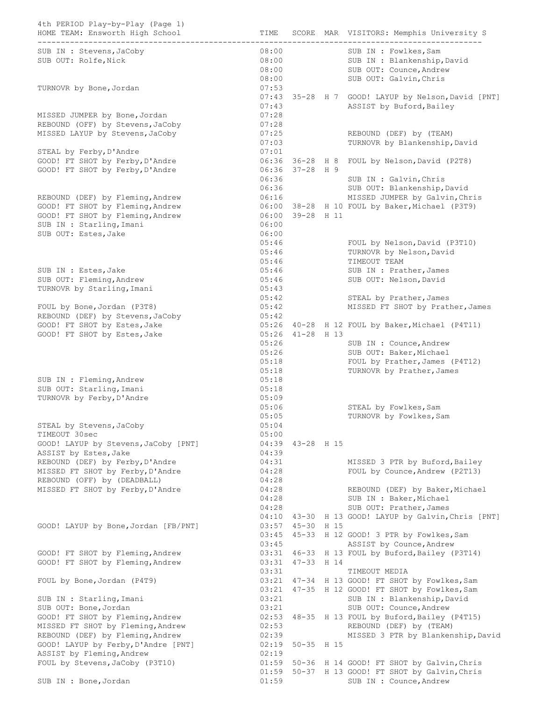| 4th PERIOD Play-by-Play (Page 1)<br>HOME TEAM: Ensworth High School                              | TIME                             |                                  | SCORE MAR VISITORS: Memphis University S                                               |  |  |
|--------------------------------------------------------------------------------------------------|----------------------------------|----------------------------------|----------------------------------------------------------------------------------------|--|--|
| SUB IN : Stevens, JaCoby<br>SUB OUT: Rolfe, Nick                                                 | 08:00<br>08:00<br>08:00<br>08:00 |                                  | SUB IN : Fowlkes, Sam<br>SUB IN : Blankenship, David<br>SUB OUT: Counce, Andrew        |  |  |
| TURNOVR by Bone, Jordan                                                                          | 07:53                            |                                  | SUB OUT: Galvin, Chris<br>07:43 35-28 H 7 GOOD! LAYUP by Nelson, David [PNT]           |  |  |
| MISSED JUMPER by Bone, Jordan                                                                    | 07:43<br>07:28                   |                                  | ASSIST by Buford, Bailey                                                               |  |  |
| REBOUND (OFF) by Stevens, JaCoby<br>MISSED LAYUP by Stevens, JaCoby                              | 07:28<br>07:25<br>07:03          |                                  | REBOUND (DEF) by (TEAM)<br>TURNOVR by Blankenship, David                               |  |  |
| STEAL by Ferby, D'Andre                                                                          | 07:01                            |                                  |                                                                                        |  |  |
| GOOD! FT SHOT by Ferby, D'Andre<br>GOOD! FT SHOT by Ferby, D'Andre                               | 06:36<br>06:36                   | 06:36 36-28 H 8<br>$37 - 28$ H 9 | FOUL by Nelson, David (P2T8)<br>SUB IN : Galvin, Chris                                 |  |  |
|                                                                                                  | 06:36                            |                                  | SUB OUT: Blankenship, David                                                            |  |  |
| REBOUND (DEF) by Fleming, Andrew                                                                 | 06:16                            |                                  | MISSED JUMPER by Galvin, Chris                                                         |  |  |
| GOOD! FT SHOT by Fleming, Andrew<br>GOOD! FT SHOT by Fleming, Andrew<br>SUB IN : Starling, Imani | 06:00<br>06:00                   | 39-28 H 11                       | 06:00 38-28 H 10 FOUL by Baker, Michael (P3T9)                                         |  |  |
| SUB OUT: Estes, Jake                                                                             | 06:00<br>05:46<br>05:46<br>05:46 |                                  | FOUL by Nelson, David (P3T10)<br>TURNOVR by Nelson, David<br>TIMEOUT TEAM              |  |  |
| SUB IN : Estes, Jake                                                                             | 05:46                            |                                  | SUB IN : Prather, James                                                                |  |  |
| SUB OUT: Fleming, Andrew<br>TURNOVR by Starling, Imani                                           | 05:46<br>05:43                   |                                  | SUB OUT: Nelson, David                                                                 |  |  |
|                                                                                                  | 05:42                            |                                  | STEAL by Prather, James                                                                |  |  |
| FOUL by Bone, Jordan (P3T8)<br>REBOUND (DEF) by Stevens, JaCoby                                  | 05:42<br>05:42                   |                                  | MISSED FT SHOT by Prather, James                                                       |  |  |
| GOOD! FT SHOT by Estes, Jake                                                                     | 05:26                            |                                  | 40-28 H 12 FOUL by Baker, Michael (P4T11)                                              |  |  |
| GOOD! FT SHOT by Estes, Jake                                                                     | 05:26<br>05:26                   | 05:26 41-28 H 13                 | SUB IN : Counce, Andrew<br>SUB OUT: Baker, Michael                                     |  |  |
| SUB IN : Fleming, Andrew                                                                         | 05:18<br>05:18<br>05:18          |                                  | FOUL by Prather, James (P4T12)<br>TURNOVR by Prather, James                            |  |  |
| SUB OUT: Starling, Imani                                                                         | 05:18                            |                                  |                                                                                        |  |  |
| TURNOVR by Ferby, D'Andre                                                                        | 05:09<br>05:06<br>05:05          |                                  | STEAL by Fowlkes, Sam<br>TURNOVR by Fowlkes, Sam                                       |  |  |
| STEAL by Stevens, JaCoby<br>TIMEOUT 30sec                                                        | 05:04<br>05:00                   |                                  |                                                                                        |  |  |
| GOOD! LAYUP by Stevens, JaCoby [PNT]<br>ASSIST by Estes, Jake                                    | 04:39                            | 04:39 43-28 H 15                 |                                                                                        |  |  |
| REBOUND (DEF) by Ferby, D'Andre<br>MISSED FT SHOT by Ferby, D'Andre                              | 04:31<br>04:28                   |                                  | MISSED 3 PTR by Buford, Bailey<br>FOUL by Counce, Andrew (P2T13)                       |  |  |
| REBOUND (OFF) by (DEADBALL)                                                                      | 04:28                            |                                  |                                                                                        |  |  |
| MISSED FT SHOT by Ferby, D'Andre                                                                 | 04:28                            |                                  | REBOUND (DEF) by Baker, Michael                                                        |  |  |
|                                                                                                  | 04:28<br>04:28                   |                                  | SUB IN : Baker, Michael<br>SUB OUT: Prather, James                                     |  |  |
|                                                                                                  |                                  |                                  | 04:10 43-30 H 13 GOOD! LAYUP by Galvin, Chris [PNT]                                    |  |  |
| GOOD! LAYUP by Bone, Jordan [FB/PNT]                                                             | 03:57                            | 45-30 H 15                       |                                                                                        |  |  |
|                                                                                                  | 03:45<br>03:45                   |                                  | 45-33 H 12 GOOD! 3 PTR by Fowlkes, Sam<br>ASSIST by Counce, Andrew                     |  |  |
| GOOD! FT SHOT by Fleming, Andrew<br>GOOD! FT SHOT by Fleming, Andrew                             | 03:31<br>03:31                   | 47-33 H 14                       | 03:31 46-33 H 13 FOUL by Buford, Bailey (P3T14)<br>TIMEOUT MEDIA                       |  |  |
| FOUL by Bone, Jordan (P4T9)                                                                      | 03:21<br>03:21                   |                                  | 47-34 H 13 GOOD! FT SHOT by Fowlkes, Sam<br>47-35 H 12 GOOD! FT SHOT by Fowlkes, Sam   |  |  |
| SUB IN : Starling, Imani<br>SUB OUT: Bone, Jordan                                                | 03:21<br>03:21                   |                                  | SUB IN : Blankenship, David<br>SUB OUT: Counce, Andrew                                 |  |  |
| GOOD! FT SHOT by Fleming, Andrew                                                                 |                                  |                                  | 02:53 48-35 H 13 FOUL by Buford, Bailey (P4T15)                                        |  |  |
| MISSED FT SHOT by Fleming, Andrew                                                                | 02:53                            |                                  | REBOUND (DEF) by (TEAM)                                                                |  |  |
| REBOUND (DEF) by Fleming, Andrew<br>GOOD! LAYUP by Ferby, D'Andre [PNT]                          | 02:39                            | 02:19 50-35 H 15                 | MISSED 3 PTR by Blankenship, David                                                     |  |  |
| ASSIST by Fleming, Andrew                                                                        | 02:19                            |                                  |                                                                                        |  |  |
| FOUL by Stevens, JaCoby (P3T10)                                                                  | 01:59<br>01:59                   |                                  | 50-36 H 14 GOOD! FT SHOT by Galvin, Chris<br>50-37 H 13 GOOD! FT SHOT by Galvin, Chris |  |  |
| SUB IN : Bone, Jordan                                                                            | 01:59                            |                                  | SUB IN : Counce, Andrew                                                                |  |  |